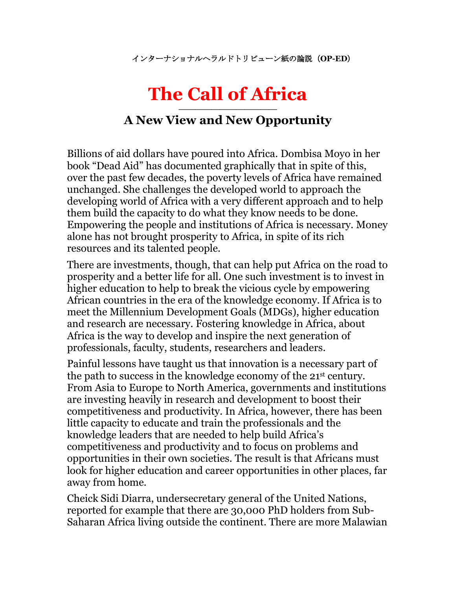インターナショナルヘラルドトリビューン紙の論説(**OP-ED**)

## **The Call of Africa**

## **———————————— A New View and New Opportunity**

Billions of aid dollars have poured into Africa. Dombisa Moyo in her book "Dead Aid" has documented graphically that in spite of this, over the past few decades, the poverty levels of Africa have remained unchanged. She challenges the developed world to approach the developing world of Africa with a very different approach and to help them build the capacity to do what they know needs to be done. Empowering the people and institutions of Africa is necessary. Money alone has not brought prosperity to Africa, in spite of its rich resources and its talented people.

There are investments, though, that can help put Africa on the road to prosperity and a better life for all. One such investment is to invest in higher education to help to break the vicious cycle by empowering African countries in the era of the knowledge economy. If Africa is to meet the Millennium Development Goals (MDGs), higher education and research are necessary. Fostering knowledge in Africa, about Africa is the way to develop and inspire the next generation of professionals, faculty, students, researchers and leaders.

Painful lessons have taught us that innovation is a necessary part of the path to success in the knowledge economy of the 21st century. From Asia to Europe to North America, governments and institutions are investing heavily in research and development to boost their competitiveness and productivity. In Africa, however, there has been little capacity to educate and train the professionals and the knowledge leaders that are needed to help build Africa's competitiveness and productivity and to focus on problems and opportunities in their own societies. The result is that Africans must look for higher education and career opportunities in other places, far away from home.

Cheick Sidi Diarra, undersecretary general of the United Nations, reported for example that there are 30,000 PhD holders from Sub-Saharan Africa living outside the continent. There are more Malawian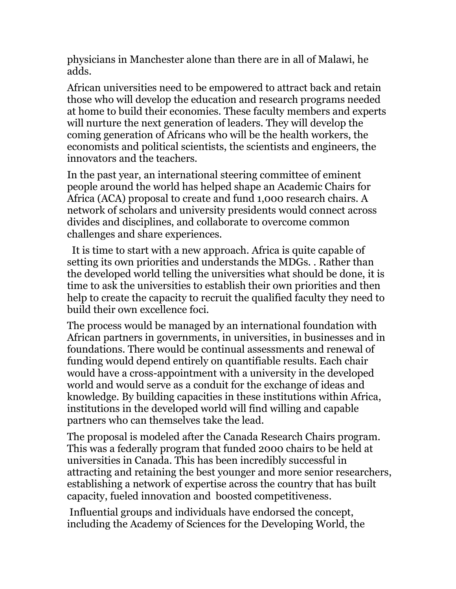physicians in Manchester alone than there are in all of Malawi, he adds.

African universities need to be empowered to attract back and retain those who will develop the education and research programs needed at home to build their economies. These faculty members and experts will nurture the next generation of leaders. They will develop the coming generation of Africans who will be the health workers, the economists and political scientists, the scientists and engineers, the innovators and the teachers.

In the past year, an international steering committee of eminent people around the world has helped shape an Academic Chairs for Africa (ACA) proposal to create and fund 1,000 research chairs. A network of scholars and university presidents would connect across divides and disciplines, and collaborate to overcome common challenges and share experiences.

 It is time to start with a new approach. Africa is quite capable of setting its own priorities and understands the MDGs. . Rather than the developed world telling the universities what should be done, it is time to ask the universities to establish their own priorities and then help to create the capacity to recruit the qualified faculty they need to build their own excellence foci.

The process would be managed by an international foundation with African partners in governments, in universities, in businesses and in foundations. There would be continual assessments and renewal of funding would depend entirely on quantifiable results. Each chair would have a cross-appointment with a university in the developed world and would serve as a conduit for the exchange of ideas and knowledge. By building capacities in these institutions within Africa, institutions in the developed world will find willing and capable partners who can themselves take the lead.

The proposal is modeled after the Canada Research Chairs program. This was a federally program that funded 2000 chairs to be held at universities in Canada. This has been incredibly successful in attracting and retaining the best younger and more senior researchers, establishing a network of expertise across the country that has built capacity, fueled innovation and boosted competitiveness.

Influential groups and individuals have endorsed the concept, including the Academy of Sciences for the Developing World, the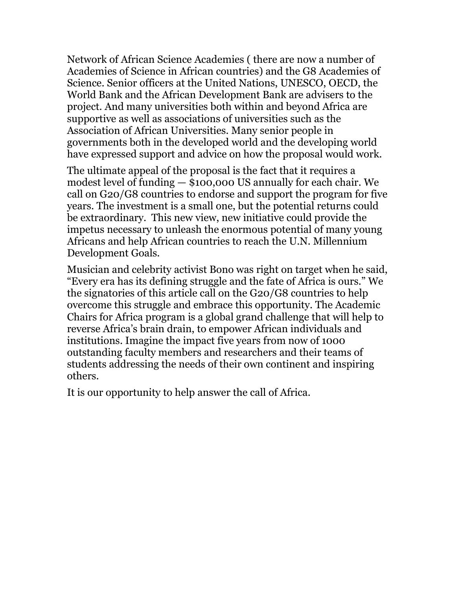Network of African Science Academies ( there are now a number of Academies of Science in African countries) and the G8 Academies of Science. Senior officers at the United Nations, UNESCO, OECD, the World Bank and the African Development Bank are advisers to the project. And many universities both within and beyond Africa are supportive as well as associations of universities such as the Association of African Universities. Many senior people in governments both in the developed world and the developing world have expressed support and advice on how the proposal would work.

The ultimate appeal of the proposal is the fact that it requires a modest level of funding — \$100,000 US annually for each chair. We call on G20/G8 countries to endorse and support the program for five years. The investment is a small one, but the potential returns could be extraordinary. This new view, new initiative could provide the impetus necessary to unleash the enormous potential of many young Africans and help African countries to reach the U.N. Millennium Development Goals.

Musician and celebrity activist Bono was right on target when he said, "Every era has its defining struggle and the fate of Africa is ours." We the signatories of this article call on the G20/G8 countries to help overcome this struggle and embrace this opportunity. The Academic Chairs for Africa program is a global grand challenge that will help to reverse Africa's brain drain, to empower African individuals and institutions. Imagine the impact five years from now of 1000 outstanding faculty members and researchers and their teams of students addressing the needs of their own continent and inspiring others.

It is our opportunity to help answer the call of Africa.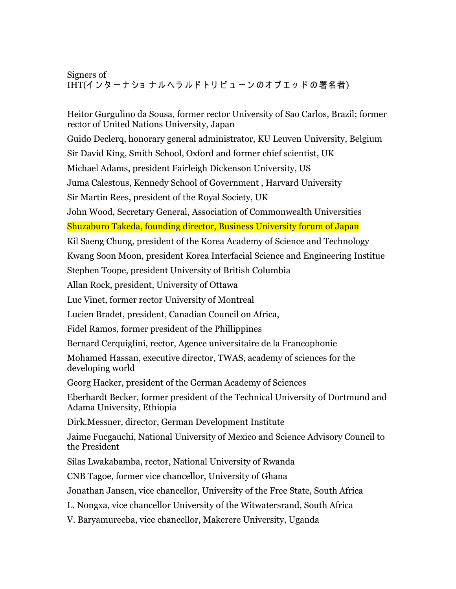## Signers of IHT(インターナショナルへラルドトリビューンのオプエッドの署名者)

Heitor Gurgulino da Sousa, former rector University of Sao Carlos, Brazil; former rector of United Nations University, Japan

Guido Declerq, honorary general administrator, KU Leuven University, Belgium

Sir David King, Smith School, Oxford and former chief scientist, UK

Michael Adams, president Fairleigh Dickenson University, US

Juma Calestous, Kennedy School of Government , Harvard University

Sir Martin Rees, president of the Royal Society, UK

John Wood, Secretary General, Association of Commonwealth Universities Shuzaburo Takeda, founding director, Business University forum of Japan

Kil Saeng Chung, president of the Korea Academy of Science and Technology

Kwang Soon Moon, president Korea Interfacial Science and Engineering Institue

Stephen Toope, president University of British Columbia

Allan Rock, president, University of Ottawa

Luc Vinet, former rector University of Montreal

Lucien Bradet, president, Canadian Council on Africa,

Fidel Ramos, former president of the Phillippines

Bernard Cerquiglini, rector, Agence universitaire de la Francophonie

Mohamed Hassan, executive director, TWAS, academy of sciences for the developing world

Georg Hacker, president of the German Academy of Sciences

Eberhardt Becker, former president of the Technical University of Dortmund and Adama University, Ethiopia

Dirk.Messner, director, German Development Institute

Jaime Fucgauchi, National University of Mexico and Science Advisory Council to the President

Silas Lwakabamba, rector, National University of Rwanda

CNB Tagoe, former vice chancellor, University of Ghana

Jonathan Jansen, vice chancellor, University of the Free State, South Africa

L. Nongxa, vice chancellor University of the Witwatersrand, South Africa

V. Baryamureeba, vice chancellor, Makerere University, Uganda